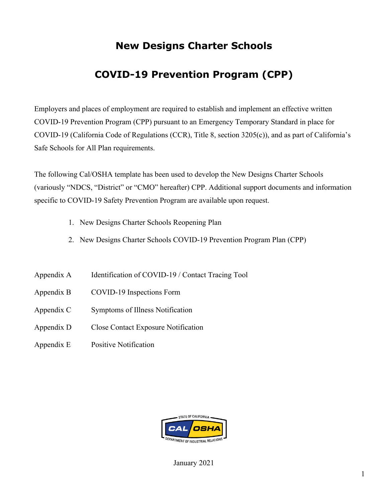# **New Designs Charter Schools**

# **COVID-19 Prevention Program (CPP)**

Employers and places of employment are required to establish and implement an effective written COVID-19 Prevention Program (CPP) pursuant to an Emergency Temporary Standard in place for COVID-19 (California Code of Regulations (CCR), Title 8, section 3205(c)), and as part of California's Safe Schools for All Plan requirements.

The following Cal/OSHA template has been used to develop the New Designs Charter Schools (variously "NDCS, "District" or "CMO" hereafter) CPP. Additional support documents and information specific to COVID-19 Safety Prevention Program are available upon request.

- 1. New Designs Charter Schools Reopening Plan
- 2. New Designs Charter Schools COVID-19 Prevention Program Plan (CPP)
- Appendix A Identification of COVID-19 / Contact Tracing Tool
- Appendix B COVID-19 Inspections Form
- Appendix C Symptoms of Illness Notification
- Appendix D Close Contact Exposure Notification
- Appendix E Positive Notification

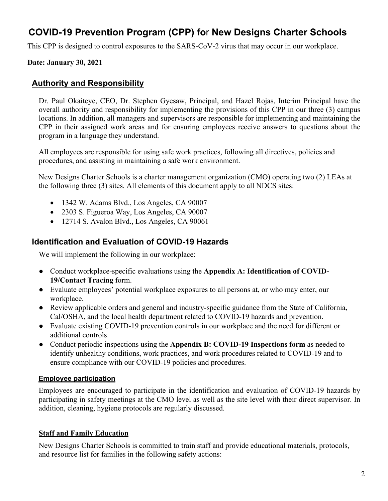# **COVID-19 Prevention Program (CPP) fo**r **New Designs Charter Schools**

This CPP is designed to control exposures to the SARS-CoV-2 virus that may occur in our workplace.

#### **Date: January 30, 2021**

#### **Authority and Responsibility**

Dr. Paul Okaiteye, CEO, Dr. Stephen Gyesaw, Principal, and Hazel Rojas, Interim Principal have the overall authority and responsibility for implementing the provisions of this CPP in our three (3) campus locations. In addition, all managers and supervisors are responsible for implementing and maintaining the CPP in their assigned work areas and for ensuring employees receive answers to questions about the program in a language they understand.

All employees are responsible for using safe work practices, following all directives, policies and procedures, and assisting in maintaining a safe work environment.

New Designs Charter Schools is a charter management organization (CMO) operating two (2) LEAs at the following three (3) sites. All elements of this document apply to all NDCS sites:

- 1342 W. Adams Blvd., Los Angeles, CA 90007
- 2303 S. Figueroa Way, Los Angeles, CA 90007
- 12714 S. Avalon Blvd., Los Angeles, CA 90061

#### **Identification and Evaluation of COVID-19 Hazards**

We will implement the following in our workplace:

- Conduct workplace-specific evaluations using the **Appendix A: Identification of COVID-19/Contact Tracing** form.
- Evaluate employees' potential workplace exposures to all persons at, or who may enter, our workplace.
- Review applicable orders and general and industry-specific guidance from the State of California, Cal/OSHA, and the local health department related to COVID-19 hazards and prevention.
- Evaluate existing COVID-19 prevention controls in our workplace and the need for different or additional controls.
- Conduct periodic inspections using the **Appendix B: COVID-19 Inspections form** as needed to identify unhealthy conditions, work practices, and work procedures related to COVID-19 and to ensure compliance with our COVID-19 policies and procedures.

#### **Employee participation**

Employees are encouraged to participate in the identification and evaluation of COVID-19 hazards by participating in safety meetings at the CMO level as well as the site level with their direct supervisor. In addition, cleaning, hygiene protocols are regularly discussed.

#### **Staff and Family Education**

New Designs Charter Schools is committed to train staff and provide educational materials, protocols, and resource list for families in the following safety actions: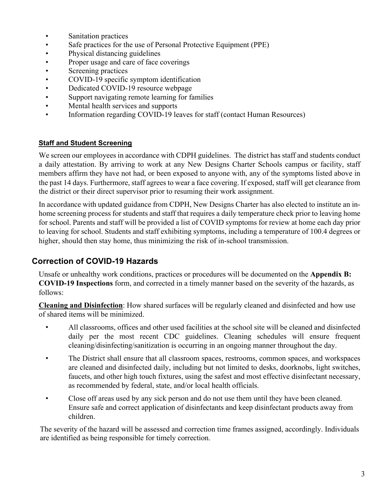- Sanitation practices
- Safe practices for the use of Personal Protective Equipment (PPE)
- Physical distancing guidelines
- Proper usage and care of face coverings
- Screening practices
- COVID-19 specific symptom identification
- Dedicated COVID-19 resource webpage
- Support navigating remote learning for families
- Mental health services and supports
- Information regarding COVID-19 leaves for staff (contact Human Resources)

#### **Staff and Student Screening**

We screen our employees in accordance with CDPH guidelines. The district has staff and students conduct a daily attestation. By arriving to work at any New Designs Charter Schools campus or facility, staff members affirm they have not had, or been exposed to anyone with, any of the symptoms listed above in the past 14 days. Furthermore, staff agrees to wear a face covering. If exposed, staff will get clearance from the district or their direct supervisor prior to resuming their work assignment.

In accordance with updated guidance from CDPH, New Designs Charter has also elected to institute an inhome screening process for students and staff that requires a daily temperature check prior to leaving home for school. Parents and staff will be provided a list of COVID symptoms for review at home each day prior to leaving for school. Students and staff exhibiting symptoms, including a temperature of 100.4 degrees or higher, should then stay home, thus minimizing the risk of in-school transmission.

#### **Correction of COVID-19 Hazards**

Unsafe or unhealthy work conditions, practices or procedures will be documented on the **Appendix B: COVID-19 Inspections** form, and corrected in a timely manner based on the severity of the hazards, as follows:

**Cleaning and Disinfection**: How shared surfaces will be regularly cleaned and disinfected and how use of shared items will be minimized.

- All classrooms, offices and other used facilities at the school site will be cleaned and disinfected daily per the most recent CDC guidelines. Cleaning schedules will ensure frequent cleaning/disinfecting/sanitization is occurring in an ongoing manner throughout the day.
- The District shall ensure that all classroom spaces, restrooms, common spaces, and workspaces are cleaned and disinfected daily, including but not limited to desks, doorknobs, light switches, faucets, and other high touch fixtures, using the safest and most effective disinfectant necessary, as recommended by federal, state, and/or local health officials.
- Close off areas used by any sick person and do not use them until they have been cleaned. Ensure safe and correct application of disinfectants and keep disinfectant products away from children.

The severity of the hazard will be assessed and correction time frames assigned, accordingly. Individuals are identified as being responsible for timely correction.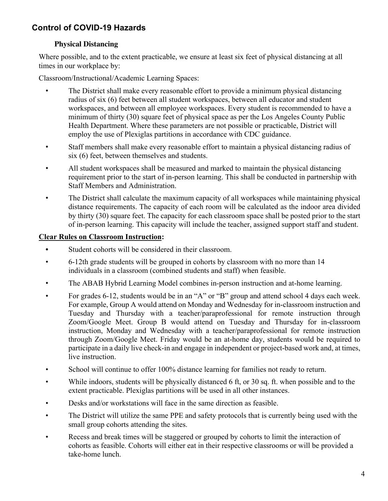# **Control of COVID-19 Hazards**

#### **Physical Distancing**

Where possible, and to the extent practicable, we ensure at least six feet of physical distancing at all times in our workplace by:

Classroom/Instructional/Academic Learning Spaces:

- The District shall make every reasonable effort to provide a minimum physical distancing radius of six (6) feet between all student workspaces, between all educator and student workspaces, and between all employee workspaces. Every student is recommended to have a minimum of thirty (30) square feet of physical space as per the Los Angeles County Public Health Department. Where these parameters are not possible or practicable, District will employ the use of Plexiglas partitions in accordance with CDC guidance.
- Staff members shall make every reasonable effort to maintain a physical distancing radius of six (6) feet, between themselves and students.
- All student workspaces shall be measured and marked to maintain the physical distancing requirement prior to the start of in-person learning. This shall be conducted in partnership with Staff Members and Administration.
- The District shall calculate the maximum capacity of all workspaces while maintaining physical distance requirements. The capacity of each room will be calculated as the indoor area divided by thirty (30) square feet. The capacity for each classroom space shall be posted prior to the start of in-person learning. This capacity will include the teacher, assigned support staff and student.

#### **Clear Rules on Classroom Instruction:**

- **•** Student cohorts will be considered in their classroom.
- 6-12th grade students will be grouped in cohorts by classroom with no more than 14 individuals in a classroom (combined students and staff) when feasible.
- The ABAB Hybrid Learning Model combines in-person instruction and at-home learning.
- For grades 6-12, students would be in an "A" or "B" group and attend school 4 days each week. For example, Group A would attend on Monday and Wednesday for in-classroom instruction and Tuesday and Thursday with a teacher/paraprofessional for remote instruction through Zoom/Google Meet. Group B would attend on Tuesday and Thursday for in-classroom instruction, Monday and Wednesday with a teacher/paraprofessional for remote instruction through Zoom/Google Meet. Friday would be an at-home day, students would be required to participate in a daily live check-in and engage in independent or project-based work and, at times, live instruction.
- School will continue to offer 100% distance learning for families not ready to return.
- While indoors, students will be physically distanced 6 ft, or 30 sq. ft. when possible and to the extent practicable. Plexiglas partitions will be used in all other instances.
- Desks and/or workstations will face in the same direction as feasible.
- The District will utilize the same PPE and safety protocols that is currently being used with the small group cohorts attending the sites.
- Recess and break times will be staggered or grouped by cohorts to limit the interaction of cohorts as feasible. Cohorts will either eat in their respective classrooms or will be provided a take-home lunch.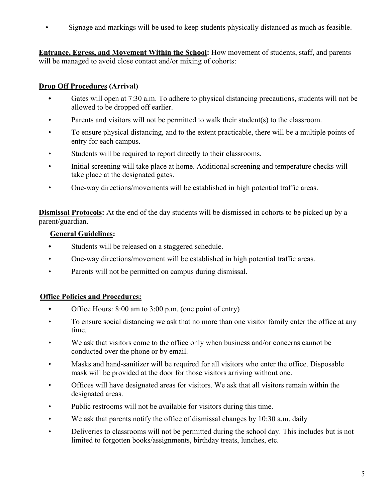• Signage and markings will be used to keep students physically distanced as much as feasible.

**Entrance, Egress, and Movement Within the School:** How movement of students, staff, and parents will be managed to avoid close contact and/or mixing of cohorts:

#### **Drop Off Procedures (Arrival)**

- **•** Gates will open at 7:30 a.m. To adhere to physical distancing precautions, students will not be allowed to be dropped off earlier.
- Parents and visitors will not be permitted to walk their student(s) to the classroom.
- To ensure physical distancing, and to the extent practicable, there will be a multiple points of entry for each campus.
- Students will be required to report directly to their classrooms.
- Initial screening will take place at home. Additional screening and temperature checks will take place at the designated gates.
- One-way directions/movements will be established in high potential traffic areas.

**Dismissal Protocols:** At the end of the day students will be dismissed in cohorts to be picked up by a parent/guardian.

#### **General Guidelines:**

- **•** Students will be released on a staggered schedule.
- One-way directions/movement will be established in high potential traffic areas.
- Parents will not be permitted on campus during dismissal.

#### **Office Policies and Procedures:**

- **•** Office Hours: 8:00 am to 3:00 p.m. (one point of entry)
- To ensure social distancing we ask that no more than one visitor family enter the office at any time.
- We ask that visitors come to the office only when business and/or concerns cannot be conducted over the phone or by email.
- Masks and hand-sanitizer will be required for all visitors who enter the office. Disposable mask will be provided at the door for those visitors arriving without one.
- Offices will have designated areas for visitors. We ask that all visitors remain within the designated areas.
- Public restrooms will not be available for visitors during this time.
- We ask that parents notify the office of dismissal changes by 10:30 a.m. daily
- Deliveries to classrooms will not be permitted during the school day. This includes but is not limited to forgotten books/assignments, birthday treats, lunches, etc.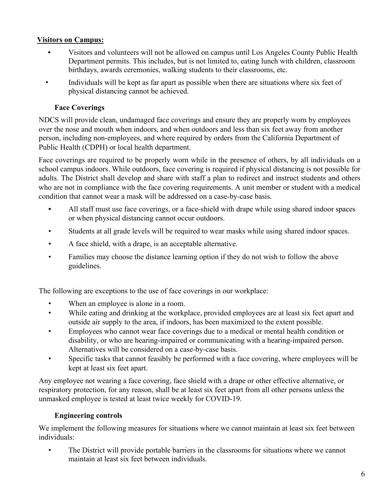### **Visitors on Campus:**

- **•** Visitors and volunteers will not be allowed on campus until Los Angeles County Public Health Department permits. This includes, but is not limited to, eating lunch with children, classroom birthdays, awards ceremonies, walking students to their classrooms, etc.
- Individuals will be kept as far apart as possible when there are situations where six feet of physical distancing cannot be achieved.

#### **Face Coverings**

NDCS will provide clean, undamaged face coverings and ensure they are properly worn by employees over the nose and mouth when indoors, and when outdoors and less than six feet away from another person, including non-employees, and where required by orders from the California Department of Public Health (CDPH) or local health department.

Face coverings are required to be properly worn while in the presence of others, by all individuals on a school campus indoors. While outdoors, face covering is required if physical distancing is not possible for adults. The District shall develop and share with staff a plan to redirect and instruct students and others who are not in compliance with the face covering requirements. A unit member or student with a medical condition that cannot wear a mask will be addressed on a case-by-case basis.

- **•** All staff must use face coverings, or a face-shield with drape while using shared indoor spaces or when physical distancing cannot occur outdoors.
- Students at all grade levels will be required to wear masks while using shared indoor spaces.
- A face shield, with a drape, is an acceptable alternative.
- Families may choose the distance learning option if they do not wish to follow the above guidelines.

The following are exceptions to the use of face coverings in our workplace:

- When an employee is alone in a room.
- While eating and drinking at the workplace, provided employees are at least six feet apart and outside air supply to the area, if indoors, has been maximized to the extent possible.
- Employees who cannot wear face coverings due to a medical or mental health condition or disability, or who are hearing-impaired or communicating with a hearing-impaired person. Alternatives will be considered on a case-by-case basis.
- Specific tasks that cannot feasibly be performed with a face covering, where employees will be kept at least six feet apart.

Any employee not wearing a face covering, face shield with a drape or other effective alternative, or respiratory protection, for any reason, shall be at least six feet apart from all other persons unless the unmasked employee is tested at least twice weekly for COVID-19.

#### **Engineering controls**

We implement the following measures for situations where we cannot maintain at least six feet between individuals:

The District will provide portable barriers in the classrooms for situations where we cannot maintain at least six feet between individuals.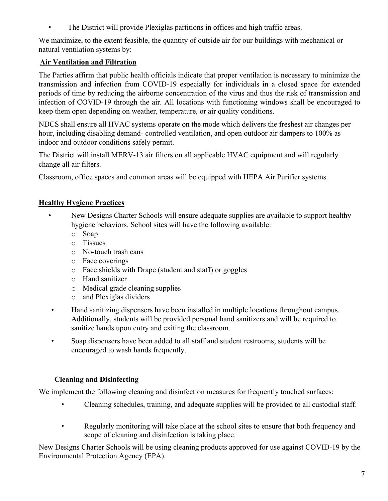• The District will provide Plexiglas partitions in offices and high traffic areas.

We maximize, to the extent feasible, the quantity of outside air for our buildings with mechanical or natural ventilation systems by:

## **Air Ventilation and Filtration**

The Parties affirm that public health officials indicate that proper ventilation is necessary to minimize the transmission and infection from COVID-19 especially for individuals in a closed space for extended periods of time by reducing the airborne concentration of the virus and thus the risk of transmission and infection of COVID-19 through the air. All locations with functioning windows shall be encouraged to keep them open depending on weather, temperature, or air quality conditions.

NDCS shall ensure all HVAC systems operate on the mode which delivers the freshest air changes per hour, including disabling demand- controlled ventilation, and open outdoor air dampers to 100% as indoor and outdoor conditions safely permit.

The District will install MERV-13 air filters on all applicable HVAC equipment and will regularly change all air filters.

Classroom, office spaces and common areas will be equipped with HEPA Air Purifier systems.

## **Healthy Hygiene Practices**

- New Designs Charter Schools will ensure adequate supplies are available to support healthy hygiene behaviors. School sites will have the following available:
	- o Soap
	- o Tissues
	- o No-touch trash cans
	- o Face coverings
	- o Face shields with Drape (student and staff) or goggles
	- o Hand sanitizer
	- o Medical grade cleaning supplies
	- o and Plexiglas dividers
	- Hand sanitizing dispensers have been installed in multiple locations throughout campus. Additionally, students will be provided personal hand sanitizers and will be required to sanitize hands upon entry and exiting the classroom.
	- Soap dispensers have been added to all staff and student restrooms; students will be encouraged to wash hands frequently.

## **Cleaning and Disinfecting**

We implement the following cleaning and disinfection measures for frequently touched surfaces:

- Cleaning schedules, training, and adequate supplies will be provided to all custodial staff.
- Regularly monitoring will take place at the school sites to ensure that both frequency and scope of cleaning and disinfection is taking place.

New Designs Charter Schools will be using cleaning products approved for use against COVID-19 by the Environmental Protection Agency (EPA).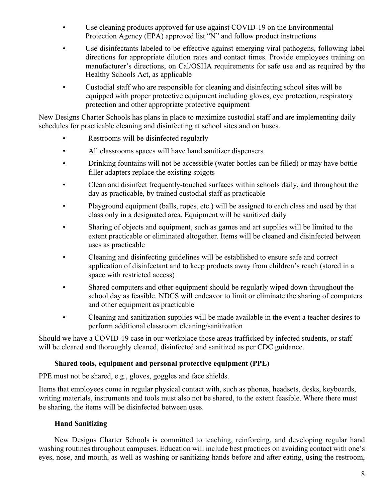- Use cleaning products approved for use against COVID-19 on the Environmental Protection Agency (EPA) approved list "N" and follow product instructions
- Use disinfectants labeled to be effective against emerging viral pathogens, following label directions for appropriate dilution rates and contact times. Provide employees training on manufacturer's directions, on Cal/OSHA requirements for safe use and as required by the Healthy Schools Act, as applicable
- Custodial staff who are responsible for cleaning and disinfecting school sites will be equipped with proper protective equipment including gloves, eye protection, respiratory protection and other appropriate protective equipment

New Designs Charter Schools has plans in place to maximize custodial staff and are implementing daily schedules for practicable cleaning and disinfecting at school sites and on buses.

- Restrooms will be disinfected regularly
- All classrooms spaces will have hand sanitizer dispensers
- Drinking fountains will not be accessible (water bottles can be filled) or may have bottle filler adapters replace the existing spigots
- Clean and disinfect frequently-touched surfaces within schools daily, and throughout the day as practicable, by trained custodial staff as practicable
- Playground equipment (balls, ropes, etc.) will be assigned to each class and used by that class only in a designated area. Equipment will be sanitized daily
- Sharing of objects and equipment, such as games and art supplies will be limited to the extent practicable or eliminated altogether. Items will be cleaned and disinfected between uses as practicable
- Cleaning and disinfecting guidelines will be established to ensure safe and correct application of disinfectant and to keep products away from children's reach (stored in a space with restricted access)
- Shared computers and other equipment should be regularly wiped down throughout the school day as feasible. NDCS will endeavor to limit or eliminate the sharing of computers and other equipment as practicable
- Cleaning and sanitization supplies will be made available in the event a teacher desires to perform additional classroom cleaning/sanitization

Should we have a COVID-19 case in our workplace those areas trafficked by infected students, or staff will be cleared and thoroughly cleaned, disinfected and sanitized as per CDC guidance.

#### **Shared tools, equipment and personal protective equipment (PPE)**

PPE must not be shared, e.g., gloves, goggles and face shields.

Items that employees come in regular physical contact with, such as phones, headsets, desks, keyboards, writing materials, instruments and tools must also not be shared, to the extent feasible. Where there must be sharing, the items will be disinfected between uses.

#### **Hand Sanitizing**

New Designs Charter Schools is committed to teaching, reinforcing, and developing regular hand washing routines throughout campuses. Education will include best practices on avoiding contact with one's eyes, nose, and mouth, as well as washing or sanitizing hands before and after eating, using the restroom,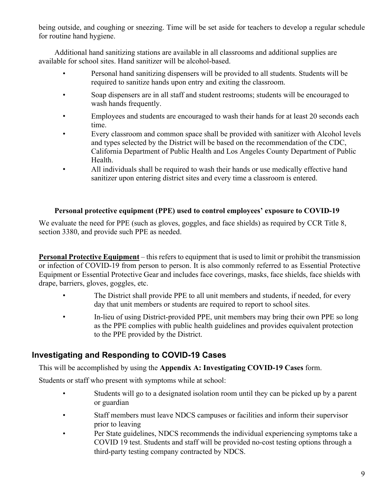being outside, and coughing or sneezing. Time will be set aside for teachers to develop a regular schedule for routine hand hygiene.

Additional hand sanitizing stations are available in all classrooms and additional supplies are available for school sites. Hand sanitizer will be alcohol-based.

- Personal hand sanitizing dispensers will be provided to all students. Students will be required to sanitize hands upon entry and exiting the classroom.
- Soap dispensers are in all staff and student restrooms; students will be encouraged to wash hands frequently.
- Employees and students are encouraged to wash their hands for at least 20 seconds each time.
- Every classroom and common space shall be provided with sanitizer with Alcohol levels and types selected by the District will be based on the recommendation of the CDC, California Department of Public Health and Los Angeles County Department of Public Health.
- All individuals shall be required to wash their hands or use medically effective hand sanitizer upon entering district sites and every time a classroom is entered.

#### **Personal protective equipment (PPE) used to control employees' exposure to COVID-19**

We evaluate the need for PPE (such as gloves, goggles, and face shields) as required by CCR Title 8, section 3380, and provide such PPE as needed.

**Personal Protective Equipment** – this refers to equipment that is used to limit or prohibit the transmission or infection of COVID-19 from person to person. It is also commonly referred to as Essential Protective Equipment or Essential Protective Gear and includes face coverings, masks, face shields, face shields with drape, barriers, gloves, goggles, etc.

- The District shall provide PPE to all unit members and students, if needed, for every day that unit members or students are required to report to school sites.
- In-lieu of using District-provided PPE, unit members may bring their own PPE so long as the PPE complies with public health guidelines and provides equivalent protection to the PPE provided by the District.

## **Investigating and Responding to COVID-19 Cases**

This will be accomplished by using the **Appendix A: Investigating COVID-19 Cases** form.

Students or staff who present with symptoms while at school:

- Students will go to a designated isolation room until they can be picked up by a parent or guardian
- Staff members must leave NDCS campuses or facilities and inform their supervisor prior to leaving
- Per State guidelines, NDCS recommends the individual experiencing symptoms take a COVID 19 test. Students and staff will be provided no-cost testing options through a third-party testing company contracted by NDCS.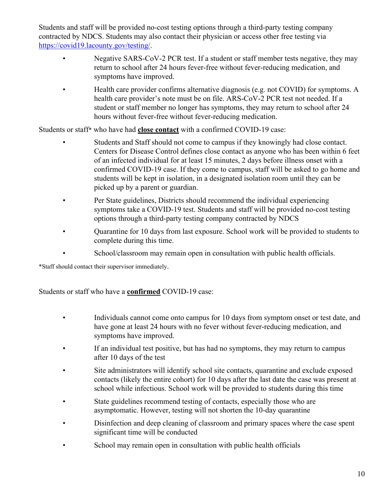Students and staff will be provided no-cost testing options through a third-party testing company contracted by NDCS. Students may also contact their physician or access other free testing via https://covid19.lacounty.gov/testing/.

- Negative SARS-CoV-2 PCR test. If a student or staff member tests negative, they may return to school after 24 hours fever-free without fever-reducing medication, and symptoms have improved.
- Health care provider confirms alternative diagnosis (e.g. not COVID) for symptoms. A health care provider's note must be on file. ARS-CoV-2 PCR test not needed. If a student or staff member no longer has symptoms, they may return to school after 24 hours without fever-free without fever-reducing medication.

Students or staff\* who have had **close contact** with a confirmed COVID-19 case:

- Students and Staff should not come to campus if they knowingly had close contact. Centers for Disease Control defines close contact as anyone who has been within 6 feet of an infected individual for at least 15 minutes, 2 days before illness onset with a confirmed COVID-19 case. If they come to campus, staff will be asked to go home and students will be kept in isolation, in a designated isolation room until they can be picked up by a parent or guardian.
- Per State guidelines, Districts should recommend the individual experiencing symptoms take a COVID-19 test. Students and staff will be provided no-cost testing options through a third-party testing company contracted by NDCS
- Quarantine for 10 days from last exposure. School work will be provided to students to complete during this time.
- School/classroom may remain open in consultation with public health officials.

\*Staff should contact their supervisor immediately.

Students or staff who have a **confirmed** COVID-19 case:

- Individuals cannot come onto campus for 10 days from symptom onset or test date, and have gone at least 24 hours with no fever without fever-reducing medication, and symptoms have improved.
- If an individual test positive, but has had no symptoms, they may return to campus after 10 days of the test
- Site administrators will identify school site contacts, quarantine and exclude exposed contacts (likely the entire cohort) for 10 days after the last date the case was present at school while infectious. School work will be provided to students during this time
- State guidelines recommend testing of contacts, especially those who are asymptomatic. However, testing will not shorten the 10-day quarantine
- Disinfection and deep cleaning of classroom and primary spaces where the case spent significant time will be conducted
- School may remain open in consultation with public health officials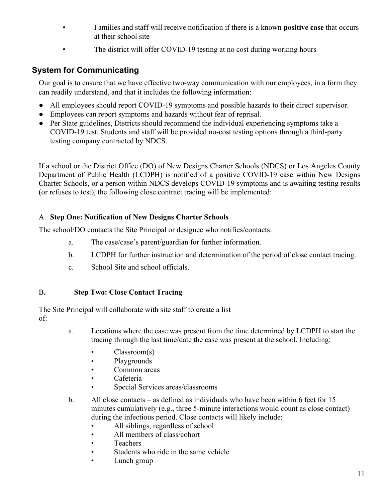- Families and staff will receive notification if there is a known **positive case** that occurs at their school site
- The district will offer COVID-19 testing at no cost during working hours

# **System for Communicating**

Our goal is to ensure that we have effective two-way communication with our employees, in a form they can readily understand, and that it includes the following information:

- All employees should report COVID-19 symptoms and possible hazards to their direct supervisor.
- Employees can report symptoms and hazards without fear of reprisal.
- Per State guidelines, Districts should recommend the individual experiencing symptoms take a COVID-19 test. Students and staff will be provided no-cost testing options through a third-party testing company contracted by NDCS.

If a school or the District Office (DO) of New Designs Charter Schools (NDCS) or Los Angeles County Department of Public Health (LCDPH) is notified of a positive COVID-19 case within New Designs Charter Schools, or a person within NDCS develops COVID-19 symptoms and is awaiting testing results (or refuses to test), the following close contract tracing will be implemented:

#### A. **Step One: Notification of New Designs Charter Schools**

The school/DO contacts the Site Principal or designee who notifies/contacts:

- a. The case/case's parent/guardian for further information.
- b. LCDPH for further instruction and determination of the period of close contact tracing.
- c. School Site and school officials.

#### B**. Step Two: Close Contact Tracing**

The Site Principal will collaborate with site staff to create a list of:

- a. Locations where the case was present from the time determined by LCDPH to start the tracing through the last time/date the case was present at the school. Including:
	- Classroom(s)
	- Playgrounds
	- Common areas
	- Cafeteria
	- Special Services areas/classrooms
- b. All close contacts as defined as individuals who have been within 6 feet for 15 minutes cumulatively (e.g., three 5-minute interactions would count as close contact) during the infectious period. Close contacts will likely include:
	- All siblings, regardless of school
	- All members of class/cohort
	- Teachers
	- Students who ride in the same vehicle
	- Lunch group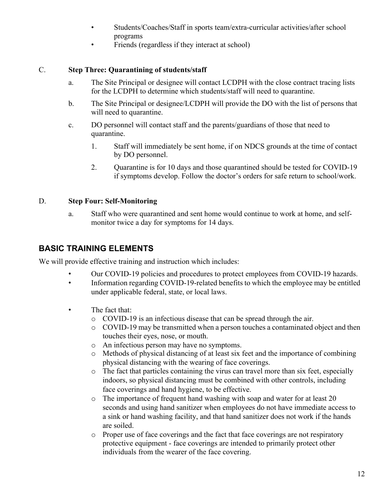- Students/Coaches/Staff in sports team/extra-curricular activities/after school programs
- Friends (regardless if they interact at school)

#### C. **Step Three: Quarantining of students/staff**

- a. The Site Principal or designee will contact LCDPH with the close contract tracing lists for the LCDPH to determine which students/staff will need to quarantine.
- b. The Site Principal or designee/LCDPH will provide the DO with the list of persons that will need to quarantine.
- c. DO personnel will contact staff and the parents/guardians of those that need to quarantine.
	- 1. Staff will immediately be sent home, if on NDCS grounds at the time of contact by DO personnel.
	- 2. Quarantine is for 10 days and those quarantined should be tested for COVID-19 if symptoms develop. Follow the doctor's orders for safe return to school/work.

#### D. **Step Four: Self-Monitoring**

a. Staff who were quarantined and sent home would continue to work at home, and selfmonitor twice a day for symptoms for 14 days.

#### **BASIC TRAINING ELEMENTS**

We will provide effective training and instruction which includes:

- Our COVID-19 policies and procedures to protect employees from COVID-19 hazards.
- Information regarding COVID-19-related benefits to which the employee may be entitled under applicable federal, state, or local laws.
- The fact that:
	- o COVID-19 is an infectious disease that can be spread through the air.
	- o COVID-19 may be transmitted when a person touches a contaminated object and then touches their eyes, nose, or mouth.
	- o An infectious person may have no symptoms.
	- o Methods of physical distancing of at least six feet and the importance of combining physical distancing with the wearing of face coverings.
	- o The fact that particles containing the virus can travel more than six feet, especially indoors, so physical distancing must be combined with other controls, including face coverings and hand hygiene, to be effective.
	- o The importance of frequent hand washing with soap and water for at least 20 seconds and using hand sanitizer when employees do not have immediate access to a sink or hand washing facility, and that hand sanitizer does not work if the hands are soiled.
	- o Proper use of face coverings and the fact that face coverings are not respiratory protective equipment - face coverings are intended to primarily protect other individuals from the wearer of the face covering.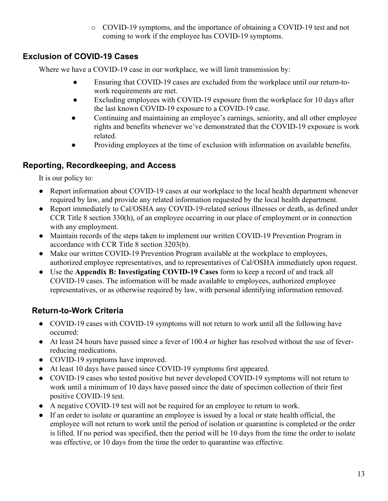o COVID-19 symptoms, and the importance of obtaining a COVID-19 test and not coming to work if the employee has COVID-19 symptoms.

# **Exclusion of COVID-19 Cases**

Where we have a COVID-19 case in our workplace, we will limit transmission by:

- Ensuring that COVID-19 cases are excluded from the workplace until our return-towork requirements are met.
- Excluding employees with COVID-19 exposure from the workplace for 10 days after the last known COVID-19 exposure to a COVID-19 case.
- Continuing and maintaining an employee's earnings, seniority, and all other employee rights and benefits whenever we've demonstrated that the COVID-19 exposure is work related.
- Providing employees at the time of exclusion with information on available benefits.

# **Reporting, Recordkeeping, and Access**

It is our policy to:

- Report information about COVID-19 cases at our workplace to the local health department whenever required by law, and provide any related information requested by the local health department.
- Report immediately to Cal/OSHA any COVID-19-related serious illnesses or death, as defined under CCR Title 8 section 330(h), of an employee occurring in our place of employment or in connection with any employment.
- Maintain records of the steps taken to implement our written COVID-19 Prevention Program in accordance with CCR Title 8 section 3203(b).
- Make our written COVID-19 Prevention Program available at the workplace to employees, authorized employee representatives, and to representatives of Cal/OSHA immediately upon request.
- Use the **Appendix B: Investigating COVID-19 Cases** form to keep a record of and track all COVID-19 cases. The information will be made available to employees, authorized employee representatives, or as otherwise required by law, with personal identifying information removed.

# **Return-to-Work Criteria**

- COVID-19 cases with COVID-19 symptoms will not return to work until all the following have occurred:
- At least 24 hours have passed since a fever of 100.4 or higher has resolved without the use of feverreducing medications.
- COVID-19 symptoms have improved.
- At least 10 days have passed since COVID-19 symptoms first appeared.
- COVID-19 cases who tested positive but never developed COVID-19 symptoms will not return to work until a minimum of 10 days have passed since the date of specimen collection of their first positive COVID-19 test.
- A negative COVID-19 test will not be required for an employee to return to work.
- If an order to isolate or quarantine an employee is issued by a local or state health official, the employee will not return to work until the period of isolation or quarantine is completed or the order is lifted. If no period was specified, then the period will be 10 days from the time the order to isolate was effective, or 10 days from the time the order to quarantine was effective.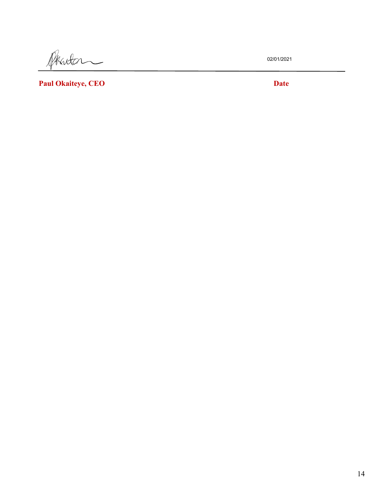Phinton  $\overline{\phantom{0}}$ 

02/01/2021

**Paul Okaiteye, CEO Date**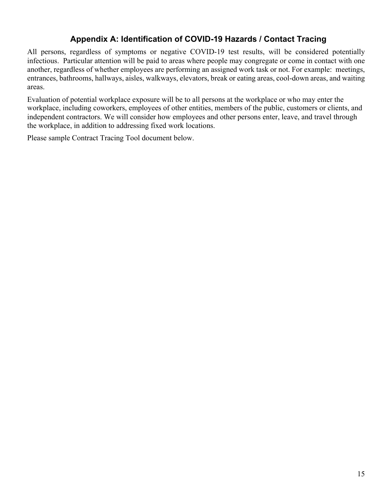# **Appendix A: Identification of COVID-19 Hazards / Contact Tracing**

All persons, regardless of symptoms or negative COVID-19 test results, will be considered potentially infectious. Particular attention will be paid to areas where people may congregate or come in contact with one another, regardless of whether employees are performing an assigned work task or not. For example: meetings, entrances, bathrooms, hallways, aisles, walkways, elevators, break or eating areas, cool-down areas, and waiting areas.

Evaluation of potential workplace exposure will be to all persons at the workplace or who may enter the workplace, including coworkers, employees of other entities, members of the public, customers or clients, and independent contractors. We will consider how employees and other persons enter, leave, and travel through the workplace, in addition to addressing fixed work locations.

Please sample Contract Tracing Tool document below.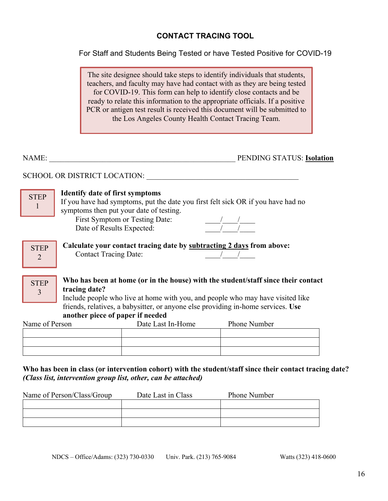#### **CONTACT TRACING TOOL**

For Staff and Students Being Tested or have Tested Positive for COVID-19

The site designee should take steps to identify individuals that students, teachers, and faculty may have had contact with as they are being tested for COVID-19. This form can help to identify close contacts and be ready to relate this information to the appropriate officials. If a positive PCR or antigen test result is received this document will be submitted to the Los Angeles County Health Contact Tracing Team.

**STEP** 1

NAME: \_\_\_\_\_\_\_\_\_\_\_\_\_\_\_\_\_\_\_\_\_\_\_\_\_\_\_\_\_\_\_\_\_\_\_\_\_\_\_\_\_\_\_\_\_\_\_\_\_ PENDING STATUS: **Isolation**

SCHOOL OR DISTRICT LOCATION:

#### **Identify date of first symptoms**

If you have had symptoms, put the date you first felt sick OR if you have had no symptoms then put your date of testing.

First Symptom or Testing Date: Date of Results Expected:



 **Calculate your contact tracing date by subtracting 2 days from above:** Contact Tracing Date:

| <b>STEP</b> | Who has been at home (or in the house) with the student/staff since their contact |
|-------------|-----------------------------------------------------------------------------------|
|             | tracing date?                                                                     |
|             | Include people who live at home with you, and people who may have visited like    |
|             |                                                                                   |

 friends, relatives, a babysitter, or anyone else providing in-home services. **Use another piece of paper if needed**

| Name of Person | Date Last In-Home | Phone Number |
|----------------|-------------------|--------------|
|                |                   |              |
|                |                   |              |
|                |                   |              |

**Who has been in class (or intervention cohort) with the student/staff since their contact tracing date?**  *(Class list, intervention group list, other, can be attached)*

| Name of Person/Class/Group | Date Last in Class | <b>Phone Number</b> |
|----------------------------|--------------------|---------------------|
|                            |                    |                     |
|                            |                    |                     |
|                            |                    |                     |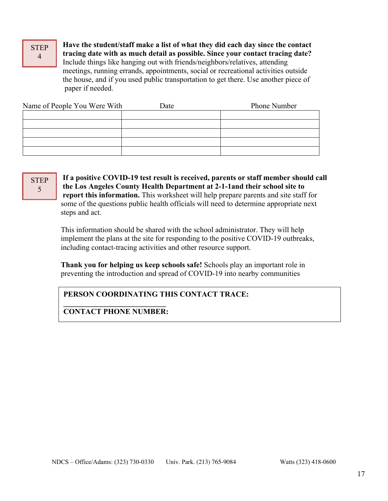#### **STEP** 4

 **Have the student/staff make a list of what they did each day since the contact tracing date with as much detail as possible. Since your contact tracing date?** Include things like hanging out with friends/neighbors/relatives, attending meetings, running errands, appointments, social or recreational activities outside the house, and if you used public transportation to get there. Use another piece of paper if needed.

| Name of People You Were With | Date | Phone Number |
|------------------------------|------|--------------|
|                              |      |              |
|                              |      |              |
|                              |      |              |
|                              |      |              |
|                              |      |              |

**STEP** 5

 **If a positive COVID-19 test result is received, parents or staff member should call the Los Angeles County Health Department at 2-1-1and their school site to report this information.** This worksheet will help prepare parents and site staff for some of the questions public health officials will need to determine appropriate next steps and act.

This information should be shared with the school administrator. They will help implement the plans at the site for responding to the positive COVID-19 outbreaks, including contact-tracing activities and other resource support.

 **Thank you for helping us keep schools safe!** Schools play an important role in preventing the introduction and spread of COVID-19 into nearby communities

## **PERSON COORDINATING THIS CONTACT TRACE:**

**\_\_\_\_\_\_\_\_\_\_\_\_\_\_\_\_\_\_\_\_\_\_\_\_\_\_\_\_\_\_\_\_\_\_\_\_\_\_\_\_\_\_\_\_**

**\_\_\_\_\_\_\_\_\_\_\_\_\_\_\_\_\_\_\_\_\_\_\_\_\_\_\_ CONTACT PHONE NUMBER:**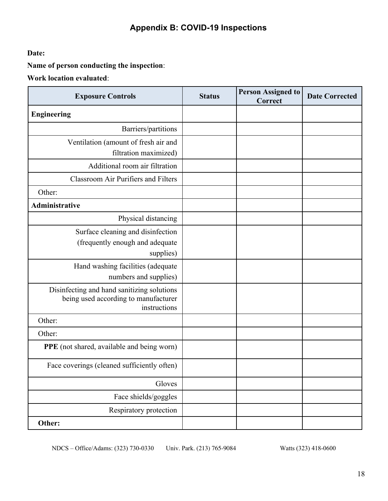# **Appendix B: COVID-19 Inspections**

**Date:** 

**Name of person conducting the inspection**:

**Work location evaluated**:

| <b>Exposure Controls</b>                                                                           | <b>Status</b> | <b>Person Assigned to</b><br>Correct | <b>Date Corrected</b> |
|----------------------------------------------------------------------------------------------------|---------------|--------------------------------------|-----------------------|
| <b>Engineering</b>                                                                                 |               |                                      |                       |
| Barriers/partitions                                                                                |               |                                      |                       |
| Ventilation (amount of fresh air and<br>filtration maximized)                                      |               |                                      |                       |
| Additional room air filtration                                                                     |               |                                      |                       |
| <b>Classroom Air Purifiers and Filters</b>                                                         |               |                                      |                       |
| Other:                                                                                             |               |                                      |                       |
| Administrative                                                                                     |               |                                      |                       |
| Physical distancing                                                                                |               |                                      |                       |
| Surface cleaning and disinfection<br>(frequently enough and adequate<br>supplies)                  |               |                                      |                       |
| Hand washing facilities (adequate<br>numbers and supplies)                                         |               |                                      |                       |
| Disinfecting and hand sanitizing solutions<br>being used according to manufacturer<br>instructions |               |                                      |                       |
| Other:                                                                                             |               |                                      |                       |
| Other:                                                                                             |               |                                      |                       |
| <b>PPE</b> (not shared, available and being worn)                                                  |               |                                      |                       |
| Face coverings (cleaned sufficiently often)                                                        |               |                                      |                       |
| Gloves                                                                                             |               |                                      |                       |
| Face shields/goggles                                                                               |               |                                      |                       |
| Respiratory protection                                                                             |               |                                      |                       |
| Other:                                                                                             |               |                                      |                       |

NDCS – Office/Adams: (323) 730-0330 Univ. Park. (213) 765-9084 Watts (323) 418-0600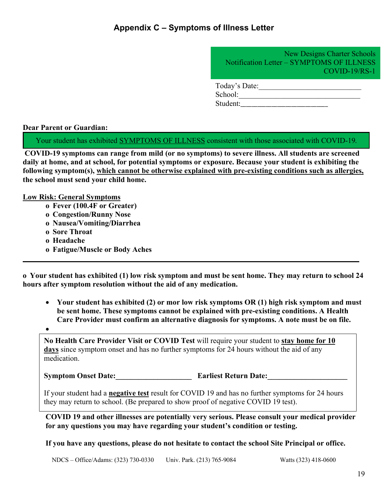# **Appendix C – Symptoms of Illness Letter**

New Designs Charter Schools Notification Letter – SYMPTOMS OF ILLNESS COVID-19/RS-1

Today's Date:

School:\_\_\_\_\_\_\_\_\_\_\_\_\_\_\_\_\_\_\_\_\_\_\_\_\_\_\_\_\_\_\_\_ Student:

**Dear Parent or Guardian:**

Your student has exhibited SYMPTOMS OF ILLNESS consistent with those associated with COVID-19.

**COVID-19 symptoms can range from mild (or no symptoms) to severe illness. All students are screened daily at home, and at school, for potential symptoms or exposure. Because your student is exhibiting the following symptom(s), which cannot be otherwise explained with pre-existing conditions such as allergies, the school must send your child home.**

**Low Risk: General Symptoms**

- **o Fever (100.4F or Greater)**
- **o Congestion/Runny Nose**
- **o Nausea/Vomiting/Diarrhea**
- **o Sore Throat**
- **o Headache**
- **o Fatigue/Muscle or Body Aches**

**o Your student has exhibited (1) low risk symptom and must be sent home. They may return to school 24 hours after symptom resolution without the aid of any medication.**

**\_\_\_\_\_\_\_\_\_\_\_\_\_\_\_\_\_\_\_\_\_\_\_\_\_\_\_\_\_\_\_\_\_\_\_\_\_\_\_\_\_\_\_\_\_\_\_\_\_\_\_\_\_\_\_\_\_\_\_\_\_\_\_\_\_\_\_\_\_\_\_\_\_\_\_\_\_\_\_\_\_\_\_\_\_\_\_\_**

- **Your student has exhibited (2) or mor low risk symptoms OR (1) high risk symptom and must be sent home. These symptoms cannot be explained with pre-existing conditions. A Health Care Provider must confirm an alternative diagnosis for symptoms. A note must be on file.**
- •

**No Health Care Provider Visit or COVID Test** will require your student to **stay home for 10 days** since symptom onset and has no further symptoms for 24 hours without the aid of any medication.

**Symptom Onset Date: Earliest Return Date:** 

If your student had a **negative test** result for COVID 19 and has no further symptoms for 24 hours they may return to school. (Be prepared to show proof of negative COVID 19 test).

**COVID 19 and other illnesses are potentially very serious. Please consult your medical provider for any questions you may have regarding your student's condition or testing.**

**If you have any questions, please do not hesitate to contact the school Site Principal or office.**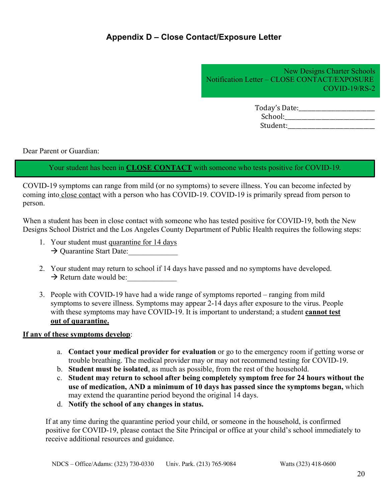### **Appendix D – Close Contact/Exposure Letter**

New Designs Charter Schools Notification Letter – CLOSE CONTACT/EXPOSURE COVID-19/RS-2

| Today's Date: |  |
|---------------|--|
| School:       |  |
| Student:      |  |

Dear Parent or Guardian:

Your student has been in **CLOSE CONTACT** with someone who tests positive for COVID-19.

COVID-19 symptoms can range from mild (or no symptoms) to severe illness. You can become infected by coming into close contact with a person who has COVID-19. COVID-19 is primarily spread from person to person.

When a student has been in close contact with someone who has tested positive for COVID-19, both the New Designs School District and the Los Angeles County Department of Public Health requires the following steps:

- 1. Your student must quarantine for 14 days  $\rightarrow$  Quarantine Start Date:
- 2. Your student may return to school if 14 days have passed and no symptoms have developed.  $\rightarrow$  Return date would be:
- 3. People with COVID-19 have had a wide range of symptoms reported ranging from mild symptoms to severe illness. Symptoms may appear 2-14 days after exposure to the virus. People with these symptoms may have COVID-19. It is important to understand; a student **cannot test out of quarantine.**

**If any of these symptoms develop**:

- a. **Contact your medical provider for evaluation** or go to the emergency room if getting worse or trouble breathing. The medical provider may or may not recommend testing for COVID-19.
- b. **Student must be isolated**, as much as possible, from the rest of the household.
- c. **Student may return to school after being completely symptom free for 24 hours without the use of medication, AND a minimum of 10 days has passed since the symptoms began,** which may extend the quarantine period beyond the original 14 days.
- d. **Notify the school of any changes in status.**

If at any time during the quarantine period your child, or someone in the household, is confirmed positive for COVID-19, please contact the Site Principal or office at your child's school immediately to receive additional resources and guidance.